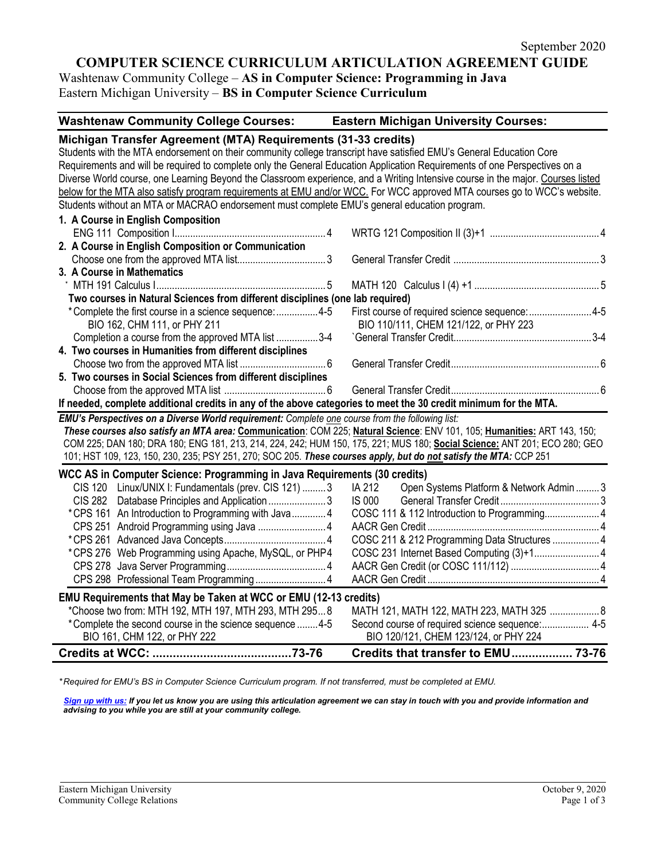# **COMPUTER SCIENCE CURRICULUM ARTICULATION AGREEMENT GUIDE**

Washtenaw Community College – **AS in Computer Science: Programming in Java** Eastern Michigan University – **BS in Computer Science Curriculum**

**Washtenaw Community College Courses: Eastern Michigan University Courses:**

| Michigan Transfer Agreement (MTA) Requirements (31-33 credits)                                                                  |                                                    |  |  |
|---------------------------------------------------------------------------------------------------------------------------------|----------------------------------------------------|--|--|
| Students with the MTA endorsement on their community college transcript have satisfied EMU's General Education Core             |                                                    |  |  |
| Requirements and will be required to complete only the General Education Application Requirements of one Perspectives on a      |                                                    |  |  |
| Diverse World course, one Learning Beyond the Classroom experience, and a Writing Intensive course in the major. Courses listed |                                                    |  |  |
| below for the MTA also satisfy program requirements at EMU and/or WCC. For WCC approved MTA courses go to WCC's website.        |                                                    |  |  |
| Students without an MTA or MACRAO endorsement must complete EMU's general education program.                                    |                                                    |  |  |
| 1. A Course in English Composition                                                                                              |                                                    |  |  |
|                                                                                                                                 |                                                    |  |  |
| 2. A Course in English Composition or Communication                                                                             |                                                    |  |  |
|                                                                                                                                 |                                                    |  |  |
| 3. A Course in Mathematics                                                                                                      |                                                    |  |  |
|                                                                                                                                 |                                                    |  |  |
| Two courses in Natural Sciences from different disciplines (one lab required)                                                   |                                                    |  |  |
| *Complete the first course in a science sequence: 4-5                                                                           | First course of required science sequence: 4-5     |  |  |
| BIO 162, CHM 111, or PHY 211                                                                                                    | BIO 110/111, CHEM 121/122, or PHY 223              |  |  |
| Completion a course from the approved MTA list 3-4                                                                              |                                                    |  |  |
| 4. Two courses in Humanities from different disciplines                                                                         |                                                    |  |  |
|                                                                                                                                 |                                                    |  |  |
| 5. Two courses in Social Sciences from different disciplines                                                                    |                                                    |  |  |
|                                                                                                                                 |                                                    |  |  |
| If needed, complete additional credits in any of the above categories to meet the 30 credit minimum for the MTA.                |                                                    |  |  |
| EMU's Perspectives on a Diverse World requirement: Complete one course from the following list:                                 |                                                    |  |  |
| These courses also satisfy an MTA area: Communication: COM 225; Natural Science: ENV 101, 105; Humanities: ART 143, 150;        |                                                    |  |  |
| COM 225; DAN 180; DRA 180; ENG 181, 213, 214, 224, 242; HUM 150, 175, 221; MUS 180; Social Science: ANT 201; ECO 280; GEO       |                                                    |  |  |
| 101; HST 109, 123, 150, 230, 235; PSY 251, 270; SOC 205. These courses apply, but do not satisfy the MTA: CCP 251               |                                                    |  |  |
| WCC AS in Computer Science: Programming in Java Requirements (30 credits)                                                       |                                                    |  |  |
| CIS 120 Linux/UNIX I: Fundamentals (prev. CIS 121)  3                                                                           | IA 212<br>Open Systems Platform & Network Admin  3 |  |  |
| CIS 282 Database Principles and Application 3                                                                                   | <b>IS 000</b>                                      |  |  |
| *CPS 161 An Introduction to Programming with Java4                                                                              | COSC 111 & 112 Introduction to Programming 4       |  |  |
|                                                                                                                                 |                                                    |  |  |
|                                                                                                                                 | COSC 211 & 212 Programming Data Structures  4      |  |  |
| *CPS 276 Web Programming using Apache, MySQL, or PHP4                                                                           | COSC 231 Internet Based Computing (3)+1 4          |  |  |
|                                                                                                                                 |                                                    |  |  |
|                                                                                                                                 |                                                    |  |  |
| EMU Requirements that May be Taken at WCC or EMU (12-13 credits)                                                                |                                                    |  |  |
| *Choose two from: MTH 192, MTH 197, MTH 293, MTH 2958                                                                           | MATH 121, MATH 122, MATH 223, MATH 325  8          |  |  |
| *Complete the second course in the science sequence  4-5                                                                        | Second course of required science sequence: 4-5    |  |  |
| BIO 161, CHM 122, or PHY 222                                                                                                    | BIO 120/121, CHEM 123/124, or PHY 224              |  |  |
|                                                                                                                                 | Credits that transfer to EMU 73-76                 |  |  |
|                                                                                                                                 |                                                    |  |  |

*\* Required for EMU's BS in Computer Science Curriculum program. If not transferred, must be completed at EMU.* 

*[Sign up with us:](https://www.emich.edu/ccr/articulation-agreements/signup.php) If you let us know you are using this articulation agreement we can stay in touch with you and provide information and advising to you while you are still at your community college.*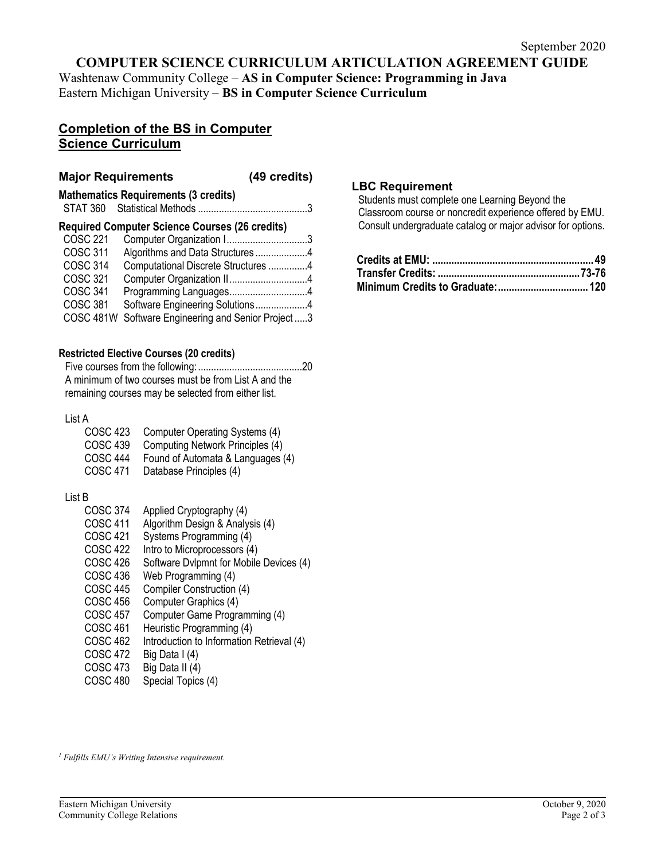## **COMPUTER SCIENCE CURRICULUM ARTICULATION AGREEMENT GUIDE**

Washtenaw Community College – **AS in Computer Science: Programming in Java** Eastern Michigan University – **BS in Computer Science Curriculum**

## **Completion of the BS in Computer Science Curriculum**

## **Major Requirements (49 credits)**

**Mathematics Requirements (3 credits)** STAT 360 Statistical Methods ..........................................3

#### **Required Computer Science Courses (26 credits)**

| <b>COSC 221</b>  | Computer Organization 13                 |  |
|------------------|------------------------------------------|--|
| <b>COSC 311</b>  | Algorithms and Data Structures4          |  |
| <b>COSC 314</b>  | Computational Discrete Structures 4      |  |
| COSC 321         |                                          |  |
| COSC 341         | Programming Languages4                   |  |
| <b>COSC 381</b>  | Software Engineering Solutions4          |  |
| <b>COSC 481W</b> | Software Engineering and Senior Project3 |  |

#### **Restricted Elective Courses (20 credits)**

Five courses from the following:........................................20 A minimum of two courses must be from List A and the remaining courses may be selected from either list.

#### List A

| COSC 423        | Computer Operating Systems (4)    |
|-----------------|-----------------------------------|
| <b>COSC 439</b> | Computing Network Principles (4)  |
| <b>COSC 444</b> | Found of Automata & Languages (4) |
| COSC 471        | Database Principles (4)           |

#### List B

- COSC 374 Applied Cryptography (4)
- COSC 411 Algorithm Design & Analysis (4)
- COSC 421 Systems Programming (4)
- COSC 422 Intro to Microprocessors (4)<br>COSC 426 Software Dylpmnt for Mobile
- COSC 426 Software Dvlpmnt for Mobile Devices (4)<br>COSC 436 Web Programming (4)
- COSC 436 Web Programming (4)<br>COSC 445 Compiler Construction
- Compiler Construction (4)
- COSC 456 Computer Graphics (4)<br>COSC 457 Computer Game Progra
- Computer Game Programming (4)
- COSC 461 Heuristic Programming (4)<br>COSC 462 Introduction to Information
- Introduction to Information Retrieval (4)
- COSC 472 Big Data I (4)
- COSC 473 Big Data II (4)
- COSC 480 Special Topics (4)

#### **LBC Requirement**

Students must complete one Learning Beyond the Classroom course or noncredit experience offered by EMU. Consult undergraduate catalog or major advisor for options.

*<sup>1</sup> Fulfills EMU's Writing Intensive requirement.*